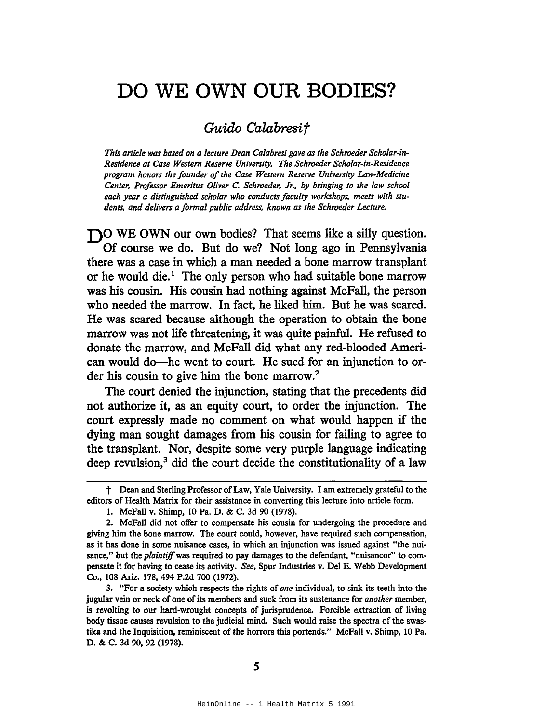## **DO WE OWN OUR BODIES?**

## *Guido Calabresif*

*This article was based on a lecture Dean Calabresi gave as the Schroeder Scholar-in-Residence at Case Western Reserve University. The Schroeder Scholar-in-Residence program honors the founder ofthe Case Western Reserve University Law-Medicine Center, Professor Emeritus Oliver* C. *Schroeder,* Jr., *by bringing to the law school each year a distinguished scholar who conducts faculty workshops, meets with students. and delivers a formal public address, known as the Schroeder Lecture.*

**DO** WE OWN our own bodies? That seems like a silly question. Of course we do. But do we? Not long ago in Pennsylvania there was a case in which a man needed a bone marrow transplant or he would die.<sup>1</sup> The only person who had suitable bone marrow was his cousin. His cousin had nothing against McFall, the person who needed the marrow. In fact, he liked him. But he was scared. He was scared because although the operation to obtain the bone marrow was not life threatening, it was quite painful. He refused to donate the marrow, and McFall did what any red-blooded American would do-he went to court. He sued for an injunction to order his cousin to give him the bone marrow.<sup>2</sup>

The court denied the injunction, stating that the precedents did not authorize it, as an equity court, to order the injunction. The court expressly made no comment on what would happen if the dying man sought damages from his cousin for failing to agree to the transplant. Nor, despite some very purple language indicating deep revulsion,<sup>3</sup> did the court decide the constitutionality of a law

t Dean and Sterling Professor ofLaw, Yale University. <sup>I</sup> am extremely grateful to the editors of Health Matrix for their assistance in converting this lecture into article form.

<sup>1.</sup> McFall v. Shimp. 10 Pa. D. & C. 3d 90 (1978).

<sup>2.</sup> McFall did not offer to compensate his cousin for undergoing the procedure and giving him the bone marrow. The court could, however. have required such compensation, as it has done in some nuisance cases, in which an injunction was issued against "the nuisance," but the *plaintiff* was required to pay damages to the defendant, "nuisancor" to compensate it for having to cease its activity. *See,* Spur Industries v. Del E. Webb Development Co•• 108 Ariz. 178.494 P.2d 700 (1972).

<sup>3.</sup> "For a society which respects the rights of *one* individual, to sink its teeth into the jugular vein or neck of one of its members and suck from its sustenance for *another* member, is revolting to our hard-wrought concepts of jurisprudence. Forcible extraction of living body tissue causes revulsion to the judicial mind. Such would raise the spectra of the swastika and the Inquisition, reminiscent of the horrors this portends." McFall v. Shimp, 10 Pa. D. & C. 3d 90. 92 (1978).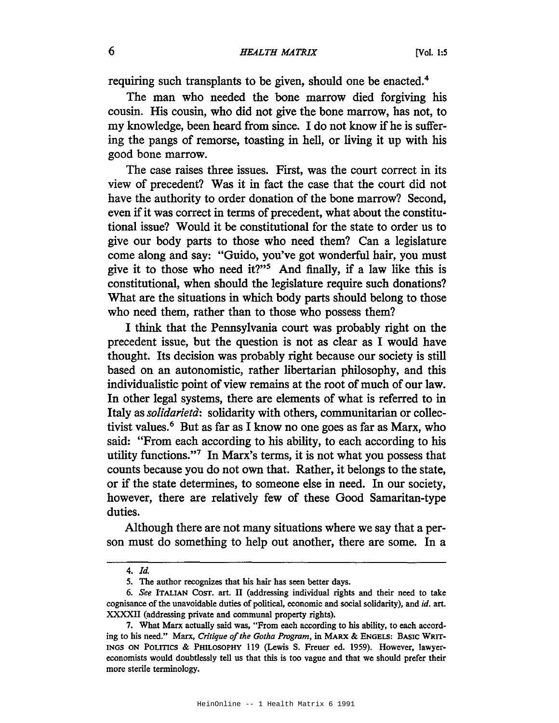requiring such transplants to be given, should one be enacted.4

The man who needed the bone marrow died forgiving his cousin. His cousin, who did not give the bone marrow, has not, to my knowledge, been heard from since. I do not know if he is suffering the pangs of remorse, toasting in hell, or living it up with his good bone marrow.

The case raises three issues. First, was the court correct in its view of precedent? Was it in fact the case that the court did not have the authority to order donation of the bone marrow? Second, even if it was correct in terms of precedent, what about the constitutional issue? Would it be constitutional for the state to order us to give our body parts to those who need them? Can a legislature come along and say: "Guido, you've got wonderful hair, you must give it to those who need it?"<sup>5</sup> And finally, if a law like this is constitutional, when should the legislature require such donations? What are the situations in which body parts should belong to those who need them, rather than to those who possess them?

I think that the Pennsylvania court was probably right on the precedent issue, but the question is not as clear as I would have thought. Its decision was probably right because our society is still based on an autonomistic, rather libertarian philosophy, and this individualistic point of view remains at the root of much of our law. In other legal systems, there are elements of what is referred to in Italy as*solidarietd:* solidarity with others, communitarian or collectivist values.<sup>6</sup> But as far as I know no one goes as far as Marx, who said: "From each according to his ability, to each according to his utility functions."7 In Marx's terms, it is not what you possess that counts because you do not own that. Rather, it belongs to the state, or if the state determines, to someone else in need. In our society, however, there are relatively few of these Good Samaritan-type duties.

Although there are not many situations where we say that a person must do something to help out another, there are some. In a

*<sup>4.</sup> ld.*

<sup>5.</sup> The author recognizes that his hair has seen better days.

*<sup>6.</sup> See* ITALIAN CoST. art. II (addressing individual rights and their need to take cognisance of the unavoidable duties of political, economic and social solidarity), and id. art. XXXXII (addressing private and communal property rights).

<sup>7.</sup> What Marx actually said was, "From each according to his ability, to each according to his need." Marx, Critique of the Gotha Program, in MARX & ENGELS: BASIC WRIT-INGS ON POLITICS & PHILOSOPHY 119 (Lewis S. Freuer ed. 1959). However, lawyereconomists would doubtlessly tell us that this is too vague and that we should prefer their more sterile terminology.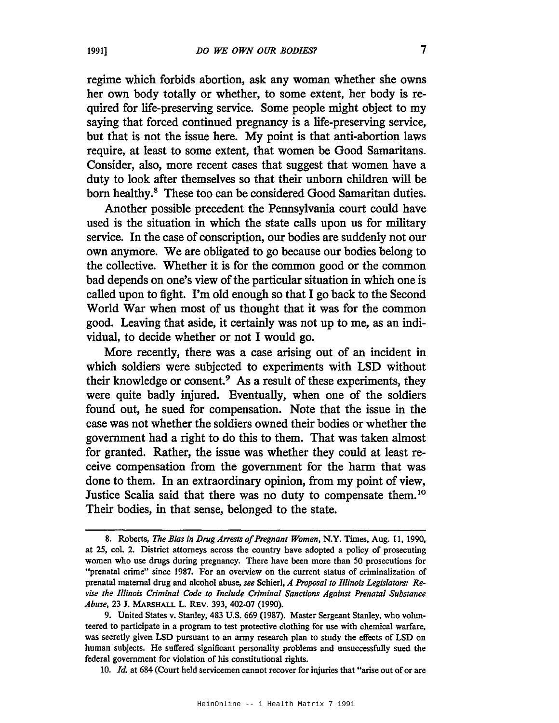regime which forbids abortion, ask any woman whether she owns her own body totally or whether, to some extent, her body is required for life-preserving service. Some people might object to my saying that forced continued pregnancy is a life-preserving service, but that is not the issue here. My point is that anti-abortion laws require, at least to some extent, that women be Good Samaritans. Consider, also, more recent cases that suggest that women have a duty to look after themselves so that their unborn children will be born healthy.<sup>8</sup> These too can be considered Good Samaritan duties.

Another possible precedent the Pennsylvania court could have used is the situation in which the state calls upon us for military service. In the case of conscription, our bodies are suddenly not our own anymore. We are obligated to go because our bodies belong to the collective. Whether it is for the common good or the common bad depends on one's view of the particular situation in which one is called upon to fight. I'm old enough so that I go back to the Second World War when most of us thought that it was for the common good. Leaving that aside, it certainly was not up to me, as an individual, to decide whether or not I would go.

More recently, there was a case arising out of an incident in which soldiers were subjected to experiments with LSD without their knowledge or consent.9 As a result of these experiments, they were quite badly injured. Eventually, when one of the soldiers found out, he sued for compensation. Note that the issue in the case was not whether the soldiers owned their bodies or whether the government had a right to do this to them. That was taken almost for granted. Rather, the issue was whether they could at least receive compensation from the government for the harm that was done to them. In an extraordinary opinion, from my point of view, Justice Scalia said that there was no duty to compensate them. <sup>10</sup> Their bodies, in that sense, belonged to the state.

10. *Id.* at 684 (Court held servicemen cannot recover for injuries that "arise out of or are

<sup>8.</sup> Roberts, *The Bias in Drug Arrests of Pregnant Women*, N.Y. Times, Aug. 11, 1990, at 25, col. 2. District attorneys across the country have adopted a policy of prosecuting women who use drugs during pregnancy. There have been more than 50 prosecutions for "prenatal crime" since 1987. For an overview on the current status of criminalization of prenatal maternal drug and alcohol abuse, *see* SchierI, *A Proposal to Illinois Legislators: Revise the Illinois Criminal Code to Include Criminal Sanctions Against Prenatal Substance Abuse,* 23 J. MARSHALL L. REv. 393, 402-07 (1990).

<sup>9.</sup> United States v. Stanley, 483 U.S. 669 (1987). Master Sergeant Stanley, who volunteered to participate in a program to test protective clothing for use with chemical warfare, was secretly given LSD pursuant to an army research plan to study the effects of LSD on human subjects. He suffered significant personality problems and unsuccessfully sued the federal government for violation of his constitutional rights.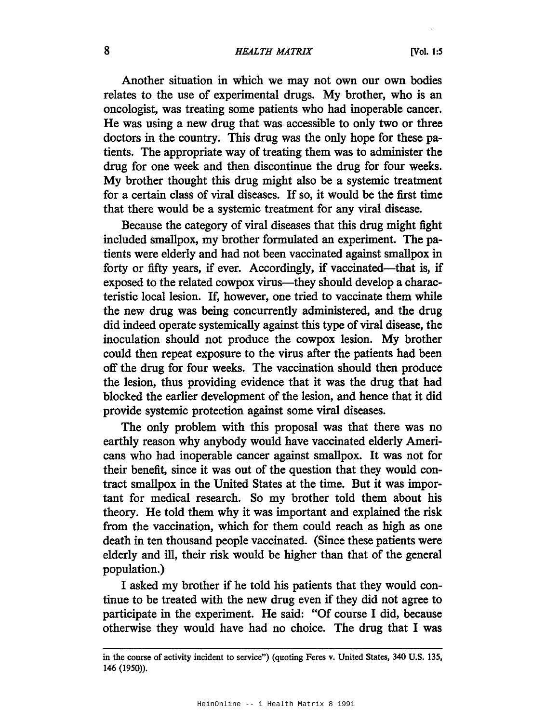## 8 *HEALTH MATRIX* [Vol. 1:5

Another situation in which we may not own our own bodies relates to the use of experimental drugs. My brother, who is an oncologist, was treating some patients who had inoperable cancer. He was using a new drug that was accessible to only two or three doctors in the country. This drug was the only hope for these patients. The appropriate way of treating them was to administer the drug for one week and then discontinue the drug for four weeks. My brother thought this drug might also be a systemic treatment for a certain class of viral diseases. If so, it would be the first time that there would be a systemic treatment for any viral disease.

Because the category of viral diseases that this drug might fight included smallpox, my brother formulated an experiment. The patients were elderly and had not been vaccinated against smallpox in forty or fifty years, if ever. Accordingly, if vaccinated—that is, if exposed to the related cowpox virus—they should develop a characteristic local lesion. If, however, one tried to vaccinate them while the new drug was being concurrently administered, and the drug did indeed operate systemically against this type of viral disease, the inoculation should not produce the cowpox lesion. My brother could then repeat exposure to the virus after the patients had been off the drug for four weeks. The vaccination should then produce the lesion, thus providing evidence that it was the drug that had blocked the earlier development of the lesion, and hence that it did provide systemic protection against some viral diseases.

The only problem with this proposal was that there was no earthly reason why anybody would have vaccinated elderly Americans who had inoperable cancer against smallpox. It was not for their benefit, since it was out of the question that they would contract smallpox in the United States at the time. But it was important for medical research. So my brother told them about his theory. He told them why it was important and explained the risk from the vaccination, which for them could reach as high as one death in ten thousand people vaccinated. (Since these patients were elderly and ill, their risk would be higher than that of the general population.)

I asked my brother if he told his patients that they would continue to be treated with the new drug even if they did not agree to participate in the experiment. He said: "Of course I did, because otherwise they would have had no choice. The drug that I was

in the course of activity incident to service") (quoting Feres v. United States, 340 U.S. 135, 146 (1950».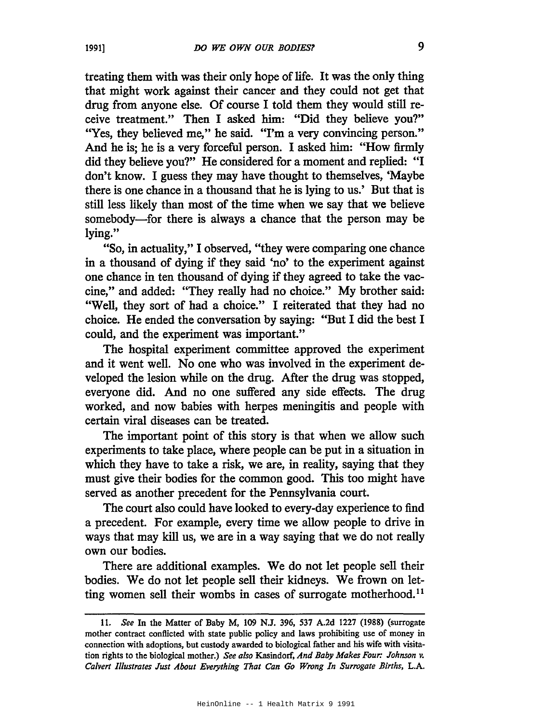treating them with was their only hope of life. It was the only thing that might work against their cancer and they could not get that drug from anyone else. Of course 1 told them they would still receive treatment." Then 1 asked him: "Did they believe you?" "Yes, they believed me," he said. "I'm a very convincing person." And he is; he is a very forceful person. 1 asked him: "How firmly did they believe you?" He considered for a moment and replied: "1 don't know. 1 guess they may have thought to themselves, 'Maybe there is one chance in a thousand that he is lying to us.' But that is still less likely than most of the time when we say that we believe somebody-for there is always a chance that the person may be lying."

"So, in actuality," 1 observed, "they were comparing one chance in a thousand of dying if they said 'no' to the experiment against one chance in ten thousand of dying if they agreed to take the vaccine," and added: "They really had no choice." My brother said: "Well, they sort of had a choice." 1 reiterated that they had no choice. He ended the conversation by saying: "But 1 did the best 1 could, and the experiment was important."

The hospital experiment committee approved the experiment and it went well. No one who was involved in the experiment developed the lesion while on the drug. After the drug was stopped, everyone did. And no one suffered any side effects. The drug worked, and now babies with herpes meningitis and people with certain viral diseases can be treated.

The important point of this story is that when we allow such experiments to take place, where people can be put in a situation in which they have to take a risk, we are, in reality, saying that they must give their bodies for the common good. This too might have served as another precedent for the Pennsylvania court.

The court also could have looked to every-day experience to find a precedent. For example, every time we allow people to drive in ways that may kill us, we are in a way saying that we do not really own our bodies.

There are additional examples. We do not let people sell their bodies. We do not let people sell their kidneys. We frown on letting women sell their wombs in cases of surrogate motherhood.<sup>11</sup>

<sup>11.</sup> *See* In the Matter of Baby M, 109 N.J. 396, 537 A.2d 1227 (1988) (surrogate mother contract conflicted with state public policy and laws prohibiting use of money in connection with adoptions, but custody awarded to biological father and his wife with visitation rights to the biological mother.) *See also* Kasindorf, *And Baby Makes Four: Johnson v. Calvert Illustrates Just About Everything That Can Go Wrong In Surrogate Births,* L.A.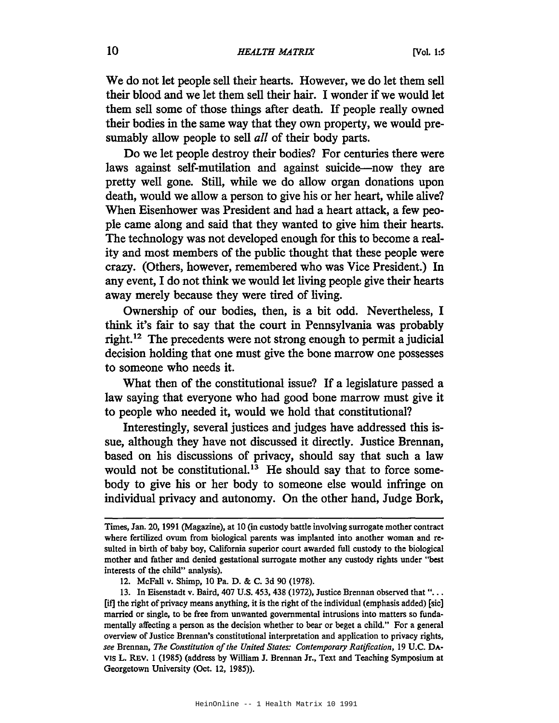We do not let people sell their hearts. However, we do let them sell their blood and we let them sell their hair. I wonder if we would let them sell some of those things after death. If people really owned their bodies in the same way that they own property, we would presumably allow people to sell *all* of their body parts.

Do we let people destroy their bodies? For centuries there were laws against self-mutilation and against suicide-now they are pretty well gone. Still, while we do allow organ donations upon death, would we allow a person to give his or her heart, while alive? When Eisenhower was President and had a heart attack, a few people came along and said that they wanted to give him their hearts. The technology was not developed enough for this to become a reality and most members of the public thought that these people were crazy. (Others, however, remembered who was Vice President.) In any event, I do not think we would let living people give their hearts away merely because they were tired of living.

Ownership of our bodies, then, is a bit odd. Nevertheless, I think it's fair to say that the court in Pennsylvania was probably right. <sup>12</sup> The precedents were not strong enough to permit a judicial decision holding that one must give the bone marrow one possesses to someone who needs it.

What then of the constitutional issue? If a legislature passed a law saying that everyone who had good bone marrow must give it to people who needed it, would we hold that constitutional?

Interestingly, several justices and judges have addressed this issue, although they have not discussed it directly. Justice Brennan, based on his discussions of privacy, should say that such a law would not be constitutional.<sup>13</sup> He should say that to force somebody to give his or her body to someone else would infringe on individual privacy and autonomy. On the other hand, Judge Bork,

Times, Jan. 20, 1991 (Magazine), at 10 (in custody battle involving surrogate mother contract where fertilized ovum from biological parents was implanted into another woman and resulted in birth of baby boy, California superior court awarded full custody to the biological mother and father and denied gestational surrogate mother any custody rights under "best interests of the child" analysis).

<sup>12.</sup> McFall v. Shimp, 10 Pa. D. & C. 3d 90 (1978).

<sup>13.</sup> In Eisenstadt v. Baird, <sup>407</sup> U.S. 453, <sup>438</sup> (1972), Justice Brennan observed that "... [if] the right of privacy means anything, it is the right of the individual (emphasis added) [sic] married or single, to be free from unwanted governmental intrusions into matters so fundamentally affecting a person as the decision whether to bear or beget a child." For a general overview of Justice Brennan's constitutional interpretation and application to privacy rights, *see* Brennan, *The Constitution of the United States: Contemporary Ratification, 19 U.C. DA-*VIS L. REv. I (1985) (address by William J. Brennan Jr., Text and Teaching Symposium at Georgetown University (Oct. 12, 1985)).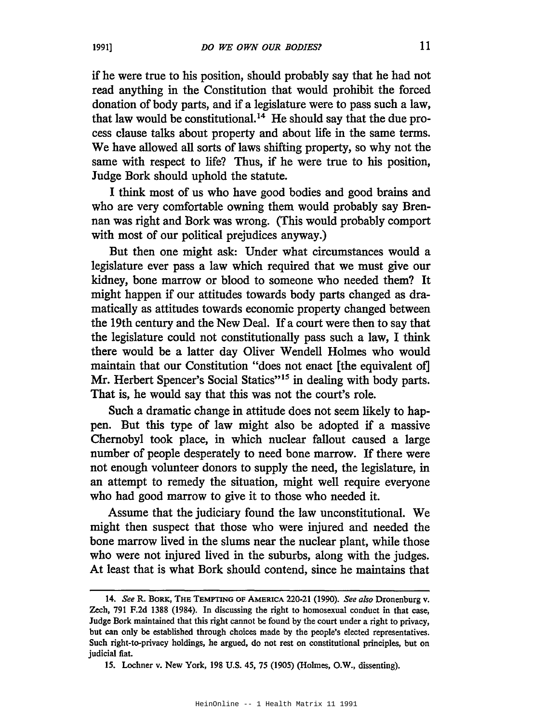if he were true to his position, should probably say that he had not read anything in the Constitution that would prohibit the forced donation of body parts, and if a legislature were to pass such a law, that law would be constitutional. <sup>14</sup> He should say that the due process clause talks about property and about life in the same tenns. We have allowed all sorts of laws shifting property, so why not the same with respect to life? Thus, if he were true to his position, Judge Bork should uphold the statute.

I think most of us who have good bodies and good brains and who are very comfortable owning them would probably say Brennan was right and Bork was wrong. (This would probably comport with most of our political prejudices anyway.)

But then one might ask: Under what circumstances would a legislature ever pass a law which required that we must give our kidney, bone marrow or blood to someone who needed them? It might happen if our attitudes towards body parts changed as dramatically as attitudes towards economic property changed between the 19th century and the New Deal. If a court were then to say that the legislature could not constitutionally pass such a law, I think there would be a latter day Oliver Wendell Holmes who would maintain that our Constitution "does not enact [the equivalent ot] Mr. Herbert Spencer's Social Statics"<sup>15</sup> in dealing with body parts. That is, he would say that this was not the court's role.

Such a dramatic change in attitude does not seem likely to happen. But this type of law might also be adopted if a massive Chernobyl took place, in which nuclear fallout caused a large number of people desperately to need bone marrow. If there were not enough volunteer donors to supply the need, the legislature, in an attempt to remedy the situation, might well require everyone who had good marrow to give it to those who needed it.

Assume that the judiciary found the law unconstitutional. We might then suspect that those who were injured and needed the bone marrow lived in the slums near the nuclear plant, while those who were not injured lived in the suburbs, along with the judges. At least that is what Bork should contend, since he maintains that

*<sup>14.</sup> See* R. BORK, THE TEMPTING OF AMERICA 220-21 (1990). *See also* Dronenburg v. Zech, 791 F.2d 1388 (1984). In discussing the right to homosexual conduct in that case, Judge Bork maintained that this right cannot be found by the court under a right to privacy, but can only be established through choices made by the people's elected representatives. Such right-to-privacy holdings, he argued, do not rest on constitutional principles, but on judicial fiat.

<sup>15.</sup> Lochner v. New York, 198 U.S. 45, 75 (1905) (Holmes, D.W., dissenting).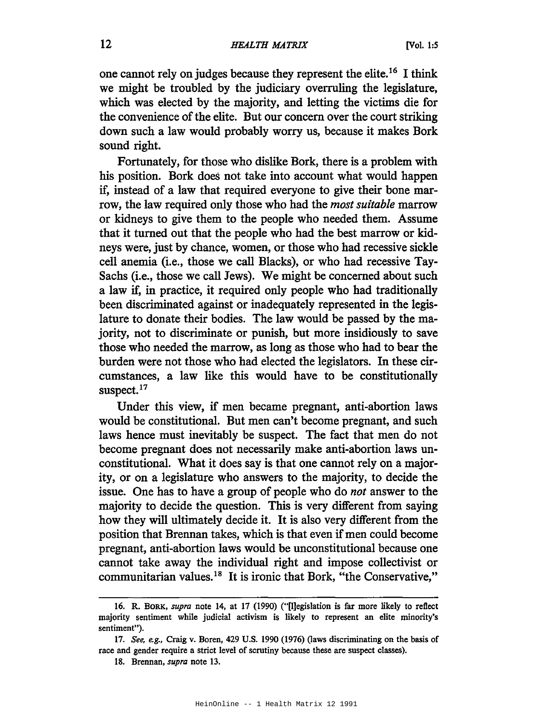one cannot rely on judges because they represent the elite.<sup>16</sup> I think we might be troubled by the judiciary overruling the legislature, which was elected by the majority, and letting the victims die for the convenience of the elite. But our concern over the court striking down such a law would probably worry us, because it makes Bork sound right.

Fortunately, for those who dislike Bork, there is a problem with his position. Bork does not take into account what would happen if, instead of a law that required everyone to give their bone marrow, the law required only those who had the *most suitable* marrow or kidneys to give them to the people who needed them. Assume that it turned out that the people who had the best marrow or kidneys were, just by chance, women, or those who had recessive sickle cell anemia (i.e., those we call Blacks), or who had recessive Tay-Sachs (i.e., those we call Jews). We might be concerned about such a law if, in practice, it required only people who had traditionally been discriminated against or inadequately represented in the legislature to donate their bodies. The law would be passed by the majority, not to discriminate or punish, but more insidiously to save those who needed the marrow, as long as those who had to bear the burden were not those who had elected the legislators. In these circumstances, a law like this would have to be constitutionally suspect.<sup>17</sup>

Under this view, if men became pregnant, anti-abortion laws would be constitutional. But men can't become pregnant, and such laws hence must inevitably be suspect. The fact that men do not become pregnant does not necessarily make anti-abortion laws unconstitutional. What it does say is that one cannot rely on a majority, or on a legislature who answers to the majority, to decide the issue. One has to have a group of people who do *not* answer to the majority to decide the question. This is very different from saying how they will ultimately decide it. It is also very different from the position that Brennan takes, which is that even if men could become pregnant, anti-abortion laws would be unconstitutional because one cannot take away the individual right and impose collectivist or communitarian values.<sup>18</sup> It is ironic that Bork, "the Conservative,"

<sup>16.</sup> R. BORK, *supra* note 14, at 17 (1990) ("[l]egislation is far more likely to reflect majority sentiment while judicial activism is likely to represent an elite minority's sentiment").

*<sup>17.</sup> See, e.g.,* Craig v. Boren, 429 U.S. 1990 (1976) (laws discriminating on the basis of race and gender require a strict level of scrutiny because these are suspect classes).

<sup>18.</sup> Brennan, *supra* note 13.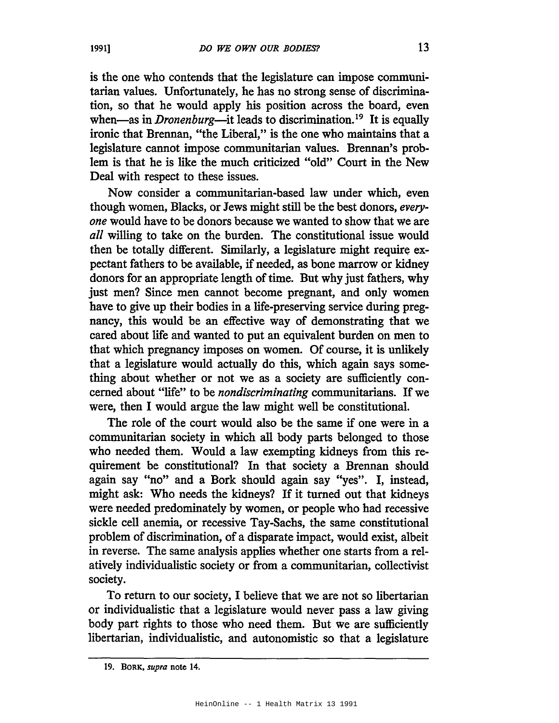is the one who contends that the legislature can impose communitarian values. Unfortunately, he has no strong sense of discrimination, so that he would apply his position across the board, even when—as in *Dronenburg*—it leads to discrimination.<sup>19</sup> It is equally ironic that Brennan, "the Liberal," is the one who maintains that a legislature cannot impose communitarian values. Brennan's problem is that he is like the much criticized "old" Court in the New Deal with respect to these issues.

Now consider a communitarian-based law under which, even though women, Blacks, or Jews might still be the best donors, *everyone* would have to be donors because we wanted to show that we are *all* willing to take on the burden. The constitutional issue would then be totally different. Similarly, a legislature might require expectant fathers to be available, if needed, as bone marrow or kidney donors for an appropriate length of time. But why just fathers, why just men? Since men cannot become pregnant, and only women have to give up their bodies in a life-preserving service during pregnancy, this would be an effective way of demonstrating that we cared about life and wanted to put an equivalent burden on men to that which pregnancy imposes on women. Of course, it is unlikely that a legislature would actually do this, which again says something about whether or not we as a society are sufficiently concerned about "life" to be *nondiscriminating* communitarians. If we were, then I would argue the law might well be constitutional.

The role of the court would also be the same if one were in a communitarian society in which all body parts belonged to those who needed them. Would a law exempting kidneys from this requirement be constitutional? In that society a Brennan should again say "no" and a Bork should again say "yes". I, instead, might ask: Who needs the kidneys? If it turned out that kidneys were needed predominately by women, or people who had recessive sickle cell anemia, or recessive Tay-Sachs, the same constitutional problem of discrimination, of a disparate impact, would exist, albeit in reverse. The same analysis applies whether one starts from a relatively individualistic society or from a communitarian, collectivist society.

To return to our society, I believe that we are not so libertarian or individualistic that a legislature would never pass a law giving body part rights to those who need them. But we are sufficiently libertarian, individualistic, and autonomistic so that a legislature

<sup>19.</sup> BORK. *supra* note 14.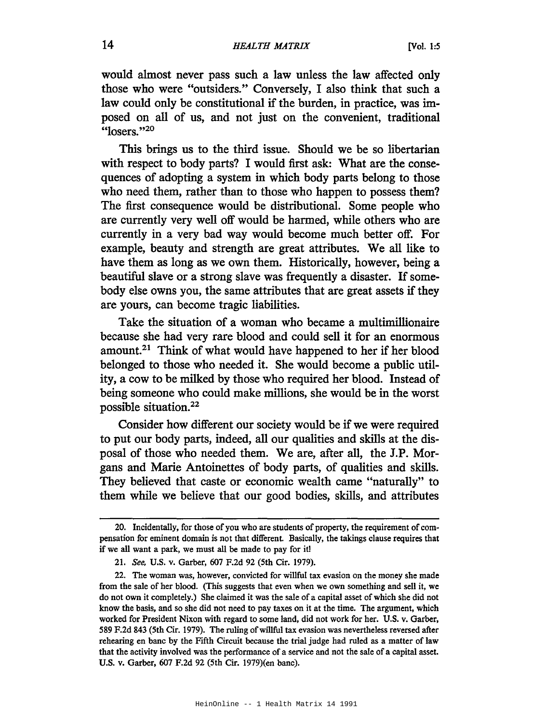would almost never pass such a law unless the law affected only those who were "outsiders." Conversely, I also think that such a law could only be constitutional if the burden, in practice, was imposed on all of us, and not just on the convenient, traditional " $losers.$ "<sup>20</sup>

This brings us to the third issue. Should we be so libertarian with respect to body parts? I would first ask: What are the consequences of adopting a system in which body parts belong to those who need them, rather than to those who happen to possess them? The first consequence would be distributional. Some people who are currently very well off would be harmed, while others who are currently in a very bad way would become much better off. For example, beauty and strength are great attributes. We all like to have them as long as we own them. Historically, however, being a beautiful slave or a strong slave was frequently a disaster. If somebody else owns you, the same attributes that are great assets if they are yours, can become tragic liabilities.

Take the situation of a woman who became a multimillionaire because she had very rare blood and could sell it for an enormous amount.21 Think of what would have happened to her if her blood belonged to those who needed it. She would become a public utility, a cow to be milked by those who required her blood. Instead of being someone who could make millions, she would be in the worst possible situation.<sup>22</sup>

Consider how different our society would be if we were required to put our body parts, indeed, all our qualities and skills at the disposal of those who needed them. We are, after all, the J.P. Morgans and Marie Antoinettes of body parts, of qualities and skills. They believed that caste or economic wealth came "naturally" to them while we believe that our good bodies, skills, and attributes

<sup>20.</sup> Incidentally, for those of you who are students of property, the requirement of compensation for eminent domain is not that different. Basically, the takings clause requires that if we all want a park, we must all be made to pay for it!

<sup>21.</sup> See, U.S. v. Garber, 607 F.2d 92 (5th Cir. 1979).

<sup>22.</sup> The woman was, however, convicted for willful tax evasion on the money she made from the sale of her blood. (This suggests that even when we own something and sell it, we do not own it completely.) She claimed it was the sale of a capital asset of which she did not know the basis, and so she did not need to pay taxes on it at the time. The argument, which worked for President Nixon with regard to some land, did not work for her. U.S. v. Garber, 589 F.2d 843 (5th Cir. 1979). The ruling of willful tax evasion was nevertheless reversed after rehearing en banc by the Fifth Circuit because the trial judge had ruled as a matter of law that the activity involved was the performance of a service and not the sale of a capital asset. U.S. v. Garber, 607 F.2d 92 (5th Cir. 1979)(en banc).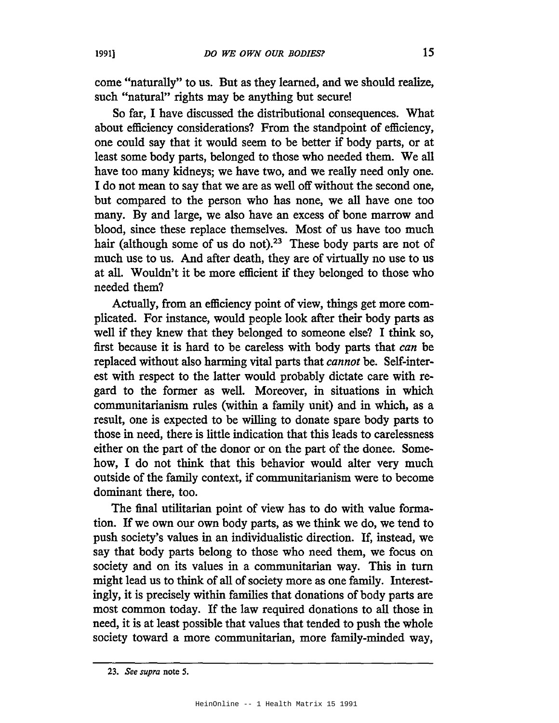come "naturally" to us. But as they learned, and we should realize, such "natural" rights may be anything but secure!

So far, I have discussed the distributional consequences. What about efficiency considerations? From the standpoint of efficiency, one could say that it would seem to be better if body parts, or at least some body parts, belonged to those who needed them. We all have too many kidneys; we have two, and we really need only one. I do not mean to say that we are as well off without the second one, but compared to the person who has none, we all have one too many. By and large, we also have an excess of bone marrow and blood, since these replace themselves. Most of us have too much hair (although some of us do not).<sup>23</sup> These body parts are not of much use to us. And after death, they are of virtually no use to us at all. Wouldn't it be more efficient if they belonged to those who needed them?

Actually, from an efficiency point of view, things get more complicated. For instance, would people look after their body parts as well if they knew that they belonged to someone else? I think so, first because it is hard to be careless with body parts that *can* be replaced without also harming vital parts that *cannot* be. Self-interest with respect to the latter would probably dictate care with regard to the former as well. Moreover, in situations in which communitarianism rules (within a family unit) and in which, as a result, one is expected to be willing to donate spare body parts to those in need, there is little indication that this leads to carelessness either on the part of the donor or on the part of the donee. Somehow, I do not think that this behavior would alter very much outside of the family context, if communitarianism were to become dominant there, too.

The final utilitarian point of view has to do with value formation. If we own our own body parts, as we think we do, we tend to push society's values in an individualistic direction. If, instead, we say that body parts belong to those who need them, we focus on society and on its values in a communitarian way. This in turn might lead us to think of all of society more as one family. Interestingly, it is precisely within families that donations of body parts are most common today. If the law required donations to all those in need, it is at least possible that values that tended to push the whole society toward a more communitarian, more family-minded way,

*<sup>23.</sup> See supra* note 5.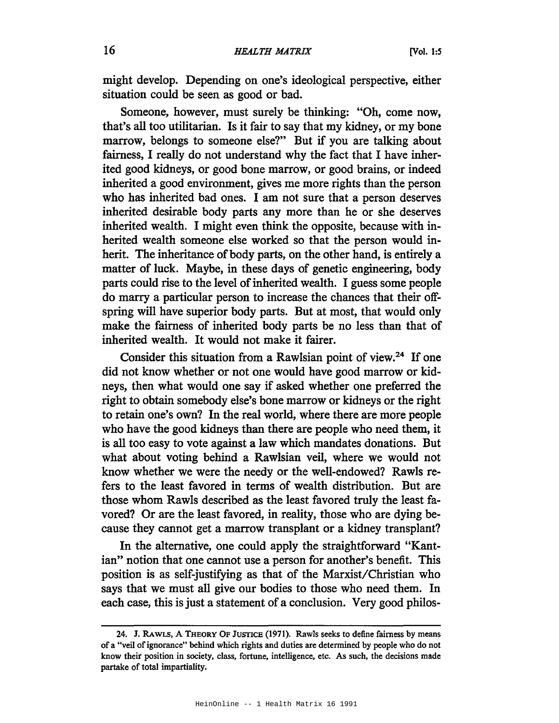might develop. Depending on one's ideological perspective, either situation could be seen as good or bad.

Someone, however, must surely be thinking: "Oh, come now, that's all too utilitarian. Is it fair to say that my kidney, or my bone marrow, belongs to someone else?" But if you are talking about fairness, I really do not understand why the fact that I have inherited good kidneys, or good bone marrow, or good brains, or indeed inherited a good environment, gives me more rights than the person who has inherited bad ones. I am not sure that a person deserves inherited desirable body parts any more than he or she deserves inherited wealth. I might even think the opposite, because with inherited wealth someone else worked so that the person would inherit. The inheritance of body parts, on the other hand, is entirely a matter of luck. Maybe, in these days of genetic engineering, body parts could rise to the level of inherited wealth. I guess some people do marry a particular person to increase the chances that their offspring will have superior body parts. But at most, that would only make the fairness of inherited body parts be no less than that of inherited wealth. It would not make it fairer.

Consider this situation from a Rawlsian point of view.<sup>24</sup> If one did not know whether or not one would have good marrow or kidneys, then what would one say if asked whether one preferred the right to obtain somebody else's bone marrow or kidneys or the right to retain one's own? In the real world, where there are more people who have the good kidneys than there are people who need them, it is all too easy to vote against a law which mandates donations. But what about voting behind a Rawlsian veil, where we would not know whether we were the needy or the well-endowed? Rawls refers to the least favored in terms of wealth distribution. But are those whom Rawls described as the least favored truly the least favored? Or are the least favored, in reality, those who are dying because they cannot get a marrow transplant or a kidney transplant?

In the alternative, one could apply the straightforward "Kantian" notion that one cannot use a person for another's benefit. This position is as self-justifying as that of the Marxist/Christian who says that we must all give our bodies to those who need them. In each case, this is just a statement of a conclusion. Very good philos-

<sup>24.</sup> J. RAWLS, A THEORY OF JUSTICE (1971). Rawls seeks to define fairness by means of a "veil ofignorance" behind which rights and duties are determined by people who do not know their position in society, class, fortune, intelligence, etc. As such, the decisions made partake of total impartiality.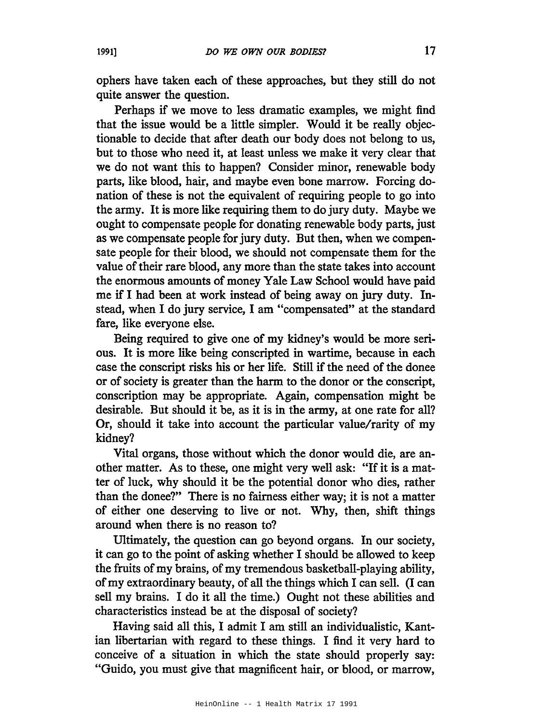ophers have taken each of these approaches, but they still do not quite answer the question.

Perhaps if we move to less dramatic examples, we might find that the issue would be a little simpler. Would it be really objectionable to decide that after death our body does not belong to us, but to those who need it, at least unless we make it very clear that we do not want this to happen? Consider minor, renewable body parts, like blood, hair, and maybe even bone marrow. Forcing donation of these is not the equivalent of requiring people to go into the army. It is more like requiring them to do jury duty. Maybe we ought to compensate people for donating renewable body parts, just as we compensate people for jury duty. But then, when we compensate people for their blood, we should not compensate them for the value of their rare blood, any more than the state takes into account the enormous amounts of money Yale Law School would have paid me if I had been at work instead of being away on jury duty. Instead, when I do jury service, I am "compensated" at the standard fare, like everyone else.

Being required to give one of my kidney's would be more serious. It is more like being conscripted in wartime, because in each case the conscript risks his or her life. Still if the need of the donee or of society is greater than the harm to the donor or the conscript, conscription may be appropriate. Again, compensation might be desirable. But should it be, as it is in the army, at one rate for all? Or, should it take into account the particular value/rarity of my kidney?

Vital organs, those without which the donor would die, are another matter. As to these, one might very well ask: "If it is a matter of luck, why should it be the potential donor who dies, rather than the donee?" There is no fairness either way; it is not a matter of either one deserving to live or not. Why, then, shift things around when there is no reason to?

Ultimately, the question can go beyond organs. In our society, it can go to the point of asking whether I should be allowed to keep the fruits of my brains, of my tremendous basketball-playing ability, ofmy extraordinary beauty, of all the things which I can sell. (I can sell my brains. I do it all the time.) Ought not these abilities and characteristics instead be at the disposal of society?

Having said all this, I admit I am still an individualistic, Kantian libertarian with regard to these things. I find it very hard to conceive of a situation in which the state should properly say: "Guido, you must give that magnificent hair, or blood, or marrow,